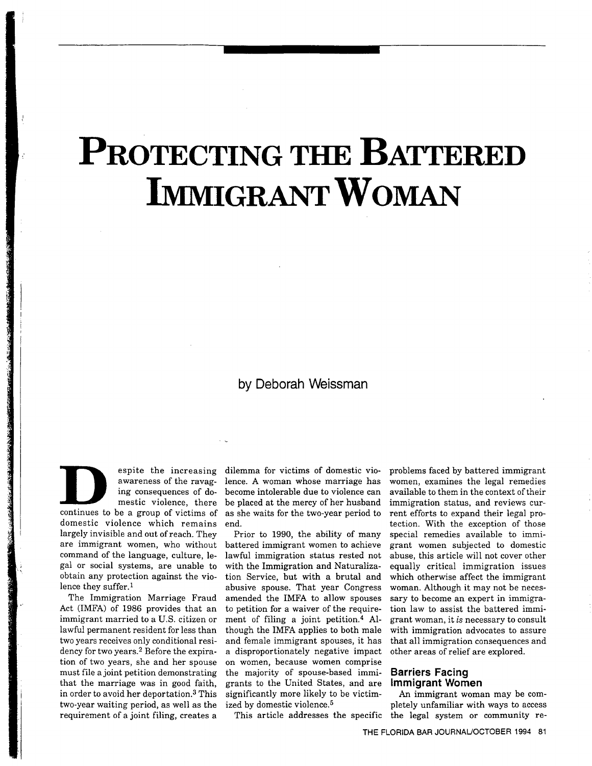# PROTECTING THE BATTERED IMMIGRANT WOMAN

# by Deborah Weissman

awareness of the ravag continues to be a group of victims of domestic violence which remains largely invisible and out of reach. They are immigrant women, who without command of the language, culture, legal or social systems, are unable to obtain any protection against the vio lence they suffer.1

The Immigration Marriage Fraud Act (IMFA) of 1986 provides that an immigrant married to a U.S. citizen or lawful permanent resident for less than two years receives only conditional resi dency for two years.<sup>2</sup> Before the expiration of two years, she and her spouse must file a joint petition demonstrating that the marriage was in good faith in order to avoid her deportation.3 This two-year waiting period, as well as the requirement of a joint filing, creates a

espite the increasing dilemma for victims of domestic vio ing consequences of do become intolerable due to violence can mestic violence, there be placed at the mercy of her husban lence. A woman whose marriage has as she waits for the two-year period to end

> Prior to 1990, the ability of many battered immigrant women to achieve lawful immigration status rested not with the Immigration and Naturaliza tion Service, but with a brutal and abusive spouse. That year Congress amended the IMFA to allow spouses to petition for a waiver of the requirement of filing a joint petition.<sup>4</sup> Although the IMFA applies to both male and female immigrant spouses, it has a disproportionately negative impact on women because women comprise the majority of spouse-based immi grants to the United States, and are significantly more likely to be victim ized by domestic violence.5

This article addresses the specific

problems faced by battered immigrant women, examines the legal remedies available to them in the context of their immigration status, and reviews current efforts to expand their legal pro tection. With the exception of those special remedies available to immi grant women subjected to domestic abuse, this article will not cover other equally critical immigration issues which otherwise affect the immigrant woman. Although it may not be necessary to become an expert in immigra tion law to assist the battered immi grant woman, it is necessary to consult with immigration advocates to assure that all immigration consequences and other areas of relief are explored

# Barriers Facing Immigrant Women

An immigrant woman may be com pletely unfamiliar with ways to access the legal system or community re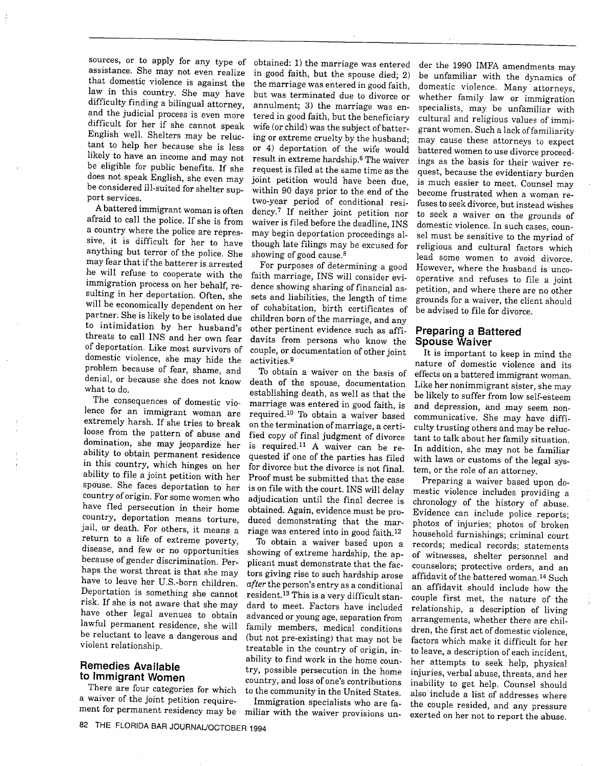sources, or to apply for any type of assistance. She may not even realize that domestic violence is against the law in this country. She may have difficulty finding a bilingual attorney, and the judicial process is even more difficult for her if she cannot speak English well. Shelters may be reluctant to help her because she is less likely to have an income and may not be eligible for public benefits. If she<br>does not speak English, she even may be considered ill-suited for shelter support services

battered immigrant woman is often afraid to call the police If she is from a country where the police are repressive, it is difficult for her to have anything but terror of the police. She may fear that if the batterer is arrested he will refuse to cooperate with the immigration process on her behalf, resulting in her deportation. Often, she will be economically dependent on her partner. She is likely to be isolated due to intimidation by her husband's threats to call INS and her own fear of deportation. Like most survivors of domestic violence, she may hide the problem because of fear, shame, and denial, or because she does not know what to do

The consequences of domestic vio lence for an immigrant woman are extremely harsh. If she tries to break loose from the pattern of abuse and domination, she may jeopardize her ability to obtain permanent residence in this country, which hinges on her ability to file a joint petition with her spouse. She faces deportation to her country of origin. For some women who have fled persecution in their home country, deportation means torture, jail, or death. For others, it means a return to a life of extreme poverty, disease, and few or no opportunities because of gender discrimination. Perhaps the worst threat is that she may have to leave her U.S.-born children Deportation is something she cannot risk If she is not aware that she may have other legal avenues to obtain lawful permanent residence, she will be reluctant to leave a dangerous and violent relationship

# Remedies Available to Immigrant Women

There are four categories for which a waiver of the joint petition requirement for permanent residency may be

obtained: 1) the marriage was entered in good faith, but the spouse died; 2) the marriage was entered in good faith but was terminated due to divorce or annulment; 3) the marriage was entered in good faith, but the beneficiary wife (or child) was the subject of battering or extreme cruelty by the husband or deportation of the wife would result in extreme hardship.6 The waiver request is filed at the same time as the joint petition would have been due within <sup>90</sup> days prior to the end of the two-year period of conditional resi dency.7 If neither joint petition nor waiver is filed before the deadline, INS may begin deportation proceedings al though late filings may be excused for showing of good cause.8

For purposes of determining a good faith marriage, INS will consider evidence showing sharing of financial as sets and liabilities, the length of time of cohabitation, birth certificates of children born of the marriage, and any other pertinent evidence such as affi davits from persons who know the couple, or documentation of other joint activities.9

To obtain a waiver on the basis of death of the spouse, documentation establishing death, as well as that the marriage was entered in good faith, is required.<sup>10</sup> To obtain a waiver based on the termination of marriage, a certified copy of final judgment of divorce is required.<sup>11</sup> A waiver can be requested if one of the parties has filed for divorce but the divorce is not final Proof must be submitted that the case is on file with the court. INS will delay adjudication until the final decree is obtained. Again, evidence must be pro-<br>duced demonstrating that the marriage was entered into in good faith.<sup>12</sup>

To obtain a waiver based upon a showing of extreme hardship, the applicant must demonstrate that the fac tors giving rise to such hardship arose after the person's entry as a conditional resident.<sup>13</sup> This is a very difficult standard to meet. Factors have included advanced or young age, separation from family members, medical conditions (but not pre-existing) that may not be treatable in the country of origin, inability to find work in the home coun try, possible persecution in the home country, and loss of one's contributions to the community in the United States

Immigration specialists who are fa miliar with the waiver provisions un

der the <sup>1990</sup> IMFA amendments may be unfamiliar with the dynamics of domestic violence. Many attorneys, whether family law or immigration specialists, may be unfamiliar with cultural and religious values of immi grant women. Such a lack of familiarity may cause these attorneys to expect battered women to use divorce proceed ings as the basis for their waiver re quest, because the evidentiary burden is much easier to meet. Counsel may become frustrated when a woman refuses to seek divorce, but instead wishes to seek a waiver on the grounds of domestic violence. In such cases, counsel must be sensitive to the myriad of religious and cultural factors which lead some women to avoid divorce However, where the husband is uncooperative and refuses to file a joint petition, and where there are no other grounds for a waiver, the client should be advised to file for divorce

# Preparing a Battered Spouse Waiver

It is important to keep in mind the nature of domestic violence and its effects on a battered immigrant woman. Like her nonimmigrant sister, she may<br>be likely to suffer from low self-esteem and depression, and may seem noncommunicative. She may have difficulty trusting others and may be reluc tant to talk about her family situation In addition, she may not be familiar with laws or customs of the legal sys tem, or the role of an attorney.

Preparing a waiver based upon domestic violence includes providing chronology of the history of abuse Evidence can include police reports photos of injuries; photos of broken household furnishings; criminal court records; medical records; statements of witnesses, shelter personnel and counselors; protective orders, and an affidavit of the battered woman.14 Such an affidavit should include how the couple first met, the nature of the relationship, a description of living arrangements, whether there are children, the first act of domestic violence, factors which make it difficult for her to leave, a description of each incident, her attempts to seek help, physical injuries, verbal abuse, threats, and her inability to get help. Counsel should also include a list of addresses where the couple resided, and any pressure exerted on her not to report the abuse